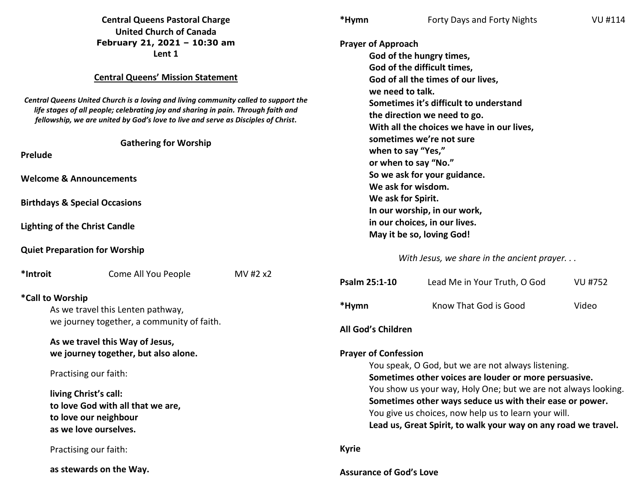| <b>Central Queens Pastoral Charge</b>                                                                                                                                                                                                                                                                                                     |                                 | *Hymn                                                                                                                                                                                                                                                                                                                                                                                                                                                             | Forty Days and Forty Nights                                                                                                                                                                                                                                                                                                                                                                        | <b>VU#114</b>                |                |  |
|-------------------------------------------------------------------------------------------------------------------------------------------------------------------------------------------------------------------------------------------------------------------------------------------------------------------------------------------|---------------------------------|-------------------------------------------------------------------------------------------------------------------------------------------------------------------------------------------------------------------------------------------------------------------------------------------------------------------------------------------------------------------------------------------------------------------------------------------------------------------|----------------------------------------------------------------------------------------------------------------------------------------------------------------------------------------------------------------------------------------------------------------------------------------------------------------------------------------------------------------------------------------------------|------------------------------|----------------|--|
| <b>United Church of Canada</b><br>February 21, 2021 - 10:30 am<br>Lent 1                                                                                                                                                                                                                                                                  |                                 |                                                                                                                                                                                                                                                                                                                                                                                                                                                                   | <b>Prayer of Approach</b><br>God of the hungry times,                                                                                                                                                                                                                                                                                                                                              |                              |                |  |
| <b>Central Queens' Mission Statement</b><br>Central Queens United Church is a loving and living community called to support the<br>life stages of all people; celebrating joy and sharing in pain. Through faith and<br>fellowship, we are united by God's love to live and serve as Disciples of Christ.<br><b>Gathering for Worship</b> |                                 | God of the difficult times,<br>God of all the times of our lives,<br>we need to talk.<br>Sometimes it's difficult to understand<br>the direction we need to go.<br>With all the choices we have in our lives,<br>sometimes we're not sure<br>when to say "Yes,"<br>or when to say "No."<br>So we ask for your guidance.<br>We ask for wisdom.<br>We ask for Spirit.<br>In our worship, in our work,<br>in our choices, in our lives.<br>May it be so, loving God! |                                                                                                                                                                                                                                                                                                                                                                                                    |                              |                |  |
|                                                                                                                                                                                                                                                                                                                                           |                                 |                                                                                                                                                                                                                                                                                                                                                                                                                                                                   |                                                                                                                                                                                                                                                                                                                                                                                                    |                              |                |  |
| <b>Prelude</b>                                                                                                                                                                                                                                                                                                                            |                                 |                                                                                                                                                                                                                                                                                                                                                                                                                                                                   |                                                                                                                                                                                                                                                                                                                                                                                                    |                              |                |  |
| <b>Welcome &amp; Announcements</b>                                                                                                                                                                                                                                                                                                        |                                 |                                                                                                                                                                                                                                                                                                                                                                                                                                                                   |                                                                                                                                                                                                                                                                                                                                                                                                    |                              |                |  |
| <b>Birthdays &amp; Special Occasions</b>                                                                                                                                                                                                                                                                                                  |                                 |                                                                                                                                                                                                                                                                                                                                                                                                                                                                   |                                                                                                                                                                                                                                                                                                                                                                                                    |                              |                |  |
| <b>Lighting of the Christ Candle</b>                                                                                                                                                                                                                                                                                                      |                                 |                                                                                                                                                                                                                                                                                                                                                                                                                                                                   |                                                                                                                                                                                                                                                                                                                                                                                                    |                              |                |  |
| <b>Quiet Preparation for Worship</b>                                                                                                                                                                                                                                                                                                      |                                 |                                                                                                                                                                                                                                                                                                                                                                                                                                                                   | With Jesus, we share in the ancient prayer                                                                                                                                                                                                                                                                                                                                                         |                              |                |  |
| *Introit                                                                                                                                                                                                                                                                                                                                  | Come All You People             | MV #2 x2                                                                                                                                                                                                                                                                                                                                                                                                                                                          | Psalm 25:1-10                                                                                                                                                                                                                                                                                                                                                                                      | Lead Me in Your Truth, O God | <b>VU #752</b> |  |
| *Call to Worship<br>As we travel this Lenten pathway,<br>we journey together, a community of faith.                                                                                                                                                                                                                                       |                                 |                                                                                                                                                                                                                                                                                                                                                                                                                                                                   | *Hymn                                                                                                                                                                                                                                                                                                                                                                                              | Know That God is Good        | Video          |  |
|                                                                                                                                                                                                                                                                                                                                           | As we travel this Way of Jesus, |                                                                                                                                                                                                                                                                                                                                                                                                                                                                   | All God's Children                                                                                                                                                                                                                                                                                                                                                                                 |                              |                |  |
| we journey together, but also alone.                                                                                                                                                                                                                                                                                                      |                                 |                                                                                                                                                                                                                                                                                                                                                                                                                                                                   | <b>Prayer of Confession</b><br>You speak, O God, but we are not always listening.<br>Sometimes other voices are louder or more persuasive.<br>You show us your way, Holy One; but we are not always looking.<br>Sometimes other ways seduce us with their ease or power.<br>You give us choices, now help us to learn your will.<br>Lead us, Great Spirit, to walk your way on any road we travel. |                              |                |  |
| Practising our faith:                                                                                                                                                                                                                                                                                                                     |                                 |                                                                                                                                                                                                                                                                                                                                                                                                                                                                   |                                                                                                                                                                                                                                                                                                                                                                                                    |                              |                |  |
| living Christ's call:<br>to love God with all that we are,<br>to love our neighbour<br>as we love ourselves.                                                                                                                                                                                                                              |                                 |                                                                                                                                                                                                                                                                                                                                                                                                                                                                   |                                                                                                                                                                                                                                                                                                                                                                                                    |                              |                |  |
|                                                                                                                                                                                                                                                                                                                                           | Practising our faith:           |                                                                                                                                                                                                                                                                                                                                                                                                                                                                   | <b>Kyrie</b>                                                                                                                                                                                                                                                                                                                                                                                       |                              |                |  |
| as stewards on the Way.                                                                                                                                                                                                                                                                                                                   |                                 | <b>Assurance of God's Love</b>                                                                                                                                                                                                                                                                                                                                                                                                                                    |                                                                                                                                                                                                                                                                                                                                                                                                    |                              |                |  |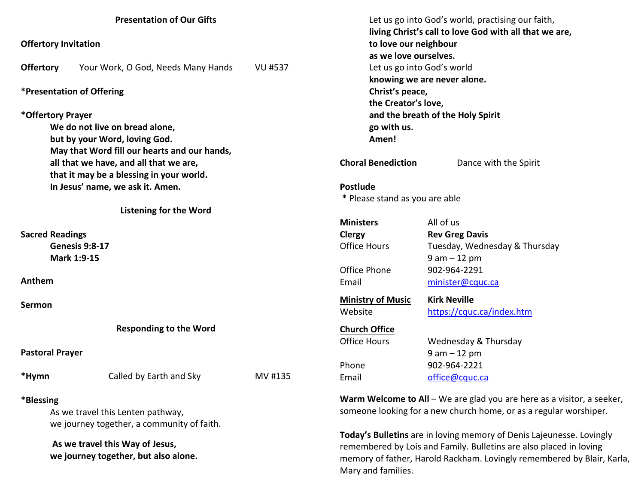| <b>Presentation of Our Gifts</b>       |                                              |                           | Let us go into God's world, practising our faith,<br>living Christ's call to love God with all that we are, |                               |  |
|----------------------------------------|----------------------------------------------|---------------------------|-------------------------------------------------------------------------------------------------------------|-------------------------------|--|
| <b>Offertory Invitation</b>            |                                              |                           | to love our neighbour                                                                                       |                               |  |
|                                        |                                              |                           | as we love ourselves.                                                                                       |                               |  |
| <b>Offertory</b>                       | Your Work, O God, Needs Many Hands           | <b>VU #537</b>            |                                                                                                             | Let us go into God's world    |  |
|                                        |                                              |                           |                                                                                                             | knowing we are never alone.   |  |
| *Presentation of Offering              |                                              |                           | Christ's peace,                                                                                             |                               |  |
|                                        |                                              |                           | the Creator's love,                                                                                         |                               |  |
| *Offertory Prayer                      |                                              |                           | and the breath of the Holy Spirit                                                                           |                               |  |
| We do not live on bread alone,         |                                              |                           | go with us.                                                                                                 |                               |  |
| but by your Word, loving God.          |                                              |                           | Amen!                                                                                                       |                               |  |
|                                        | May that Word fill our hearts and our hands, |                           |                                                                                                             |                               |  |
| all that we have, and all that we are, |                                              | <b>Choral Benediction</b> | Dance with the Spirit                                                                                       |                               |  |
|                                        | that it may be a blessing in your world.     |                           |                                                                                                             |                               |  |
| In Jesus' name, we ask it. Amen.       |                                              |                           | <b>Postlude</b>                                                                                             |                               |  |
|                                        |                                              |                           | * Please stand as you are able                                                                              |                               |  |
|                                        | <b>Listening for the Word</b>                |                           |                                                                                                             |                               |  |
|                                        |                                              |                           | <b>Ministers</b>                                                                                            | All of us                     |  |
| <b>Sacred Readings</b>                 |                                              |                           | Clergy                                                                                                      | <b>Rev Greg Davis</b>         |  |
| Genesis 9:8-17                         |                                              |                           | <b>Office Hours</b>                                                                                         | Tuesday, Wednesday & Thursday |  |
| Mark 1:9-15                            |                                              |                           |                                                                                                             | $9 am - 12 pm$                |  |
|                                        |                                              |                           | Office Phone                                                                                                | 902-964-2291                  |  |
| Anthem                                 |                                              |                           | Email                                                                                                       | minister@cquc.ca              |  |
| Sermon                                 |                                              |                           | <b>Ministry of Music</b>                                                                                    | <b>Kirk Neville</b>           |  |
|                                        |                                              |                           | Website                                                                                                     | https://cquc.ca/index.htm     |  |
|                                        | <b>Responding to the Word</b>                |                           | <b>Church Office</b>                                                                                        |                               |  |
|                                        |                                              |                           | <b>Office Hours</b>                                                                                         | Wednesday & Thursday          |  |
| <b>Pastoral Prayer</b>                 |                                              |                           |                                                                                                             | $9 am - 12 pm$                |  |
|                                        |                                              |                           | Phone                                                                                                       | 902-964-2221                  |  |
| *Hymn                                  | Called by Earth and Sky                      | MV #135                   | Email                                                                                                       | office@cquc.ca                |  |
| *Blessing                              |                                              |                           | Warm Welcome to All - We are glad you are here as a visitor, a seeker,                                      |                               |  |
| As we travel this Lenten pathway,      |                                              |                           | someone looking for a new church home, or as a regular worshiper.                                           |                               |  |
|                                        | we journey together, a community of faith.   |                           |                                                                                                             |                               |  |
|                                        |                                              |                           | Today's Bulletins are in loving memory of Denis Lajeunesse. Lovingly                                        |                               |  |
| As we travel this Way of Jesus,        |                                              |                           | remembered by Lois and Family. Bulletins are also placed in loving                                          |                               |  |
| we journey together, but also alone.   |                                              |                           | memory of father, Harold Rackham. Lovingly remembered by Blair, Karla,<br>Mary and families.                |                               |  |